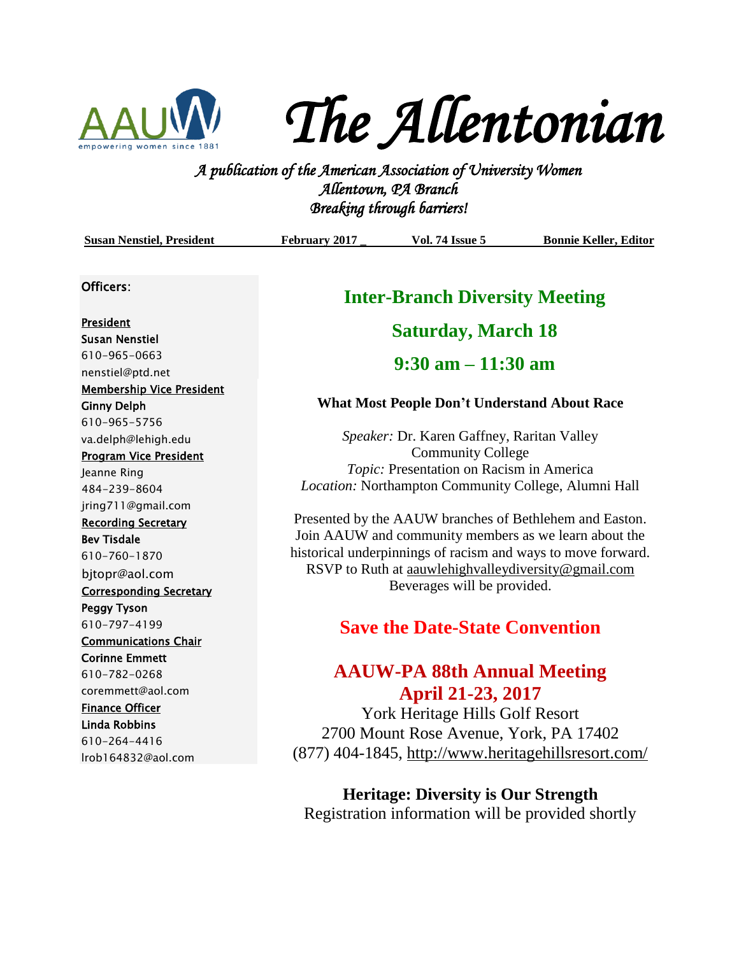

*The Allentonian* 

**A PUC FLUC I LUC 160 I LIC**<br>*A publication of the American Association of University Women*<br><sup>2</sup> *A publication of the American Association of University Women Allentown, PA Branch Breaking through barriers!* 

| <b>Susan Nenstiel, President</b> | February 2017                                                                                                                                                                    | <b>Vol. 74 Issue 5</b>                               | <b>Bonnie Keller, Editor</b> |
|----------------------------------|----------------------------------------------------------------------------------------------------------------------------------------------------------------------------------|------------------------------------------------------|------------------------------|
| Officers:                        | <b>Inter-Branch Diversity Meeting</b>                                                                                                                                            |                                                      |                              |
| President                        | <b>Saturday, March 18</b>                                                                                                                                                        |                                                      |                              |
| <b>Susan Nenstiel</b>            |                                                                                                                                                                                  |                                                      |                              |
| 610-965-0663                     | $9:30$ am $-11:30$ am                                                                                                                                                            |                                                      |                              |
| nenstiel@ptd.net                 |                                                                                                                                                                                  |                                                      |                              |
| <b>Membership Vice President</b> |                                                                                                                                                                                  |                                                      |                              |
| <b>Ginny Delph</b>               | <b>What Most People Don't Understand About Race</b>                                                                                                                              |                                                      |                              |
| 610-965-5756                     |                                                                                                                                                                                  |                                                      |                              |
| va.delph@lehigh.edu              |                                                                                                                                                                                  | Speaker: Dr. Karen Gaffney, Raritan Valley           |                              |
| <b>Program Vice President</b>    | <b>Community College</b>                                                                                                                                                         |                                                      |                              |
| Jeanne Ring                      |                                                                                                                                                                                  | Topic: Presentation on Racism in America             |                              |
| 484-239-8604                     |                                                                                                                                                                                  | Location: Northampton Community College, Alumni Hall |                              |
| jring711@gmail.com               |                                                                                                                                                                                  |                                                      |                              |
| <b>Recording Secretary</b>       | Presented by the AAUW branches of Bethlehem and Easton.<br>Join AAUW and community members as we learn about the<br>historical underpinnings of racism and ways to move forward. |                                                      |                              |
| <b>Bev Tisdale</b>               |                                                                                                                                                                                  |                                                      |                              |
| 610-760-1870                     |                                                                                                                                                                                  |                                                      |                              |
| bjtopr@aol.com                   | RSVP to Ruth at aauwlehighvalleydiversity@gmail.com<br>Beverages will be provided.                                                                                               |                                                      |                              |
| <b>Corresponding Secretary</b>   |                                                                                                                                                                                  |                                                      |                              |
| <b>Peggy Tyson</b>               |                                                                                                                                                                                  |                                                      |                              |
| 610-797-4199                     | <b>Save the Date-State Convention</b>                                                                                                                                            |                                                      |                              |
| <b>Communications Chair</b>      |                                                                                                                                                                                  |                                                      |                              |
| <b>Corinne Emmett</b>            |                                                                                                                                                                                  |                                                      |                              |
| 610-782-0268                     |                                                                                                                                                                                  | <b>AAUW-PA 88th Annual Meeting</b>                   |                              |
| coremmett@aol.com                |                                                                                                                                                                                  | <b>April 21-23, 2017</b>                             |                              |
| <b>Finance Officer</b>           |                                                                                                                                                                                  |                                                      |                              |
| <b>Linda Robbins</b>             | York Heritage Hills Golf Resort<br>2700 Mount Rose Avenue, York, PA 17402                                                                                                        |                                                      |                              |
| 610-264-4416                     |                                                                                                                                                                                  |                                                      |                              |
| Irob164832@aol.com               |                                                                                                                                                                                  | (877) 404-1845, http://www.heritagehillsresort.com/  |                              |

**Heritage: Diversity is Our Strength** Registration information will be provided shortly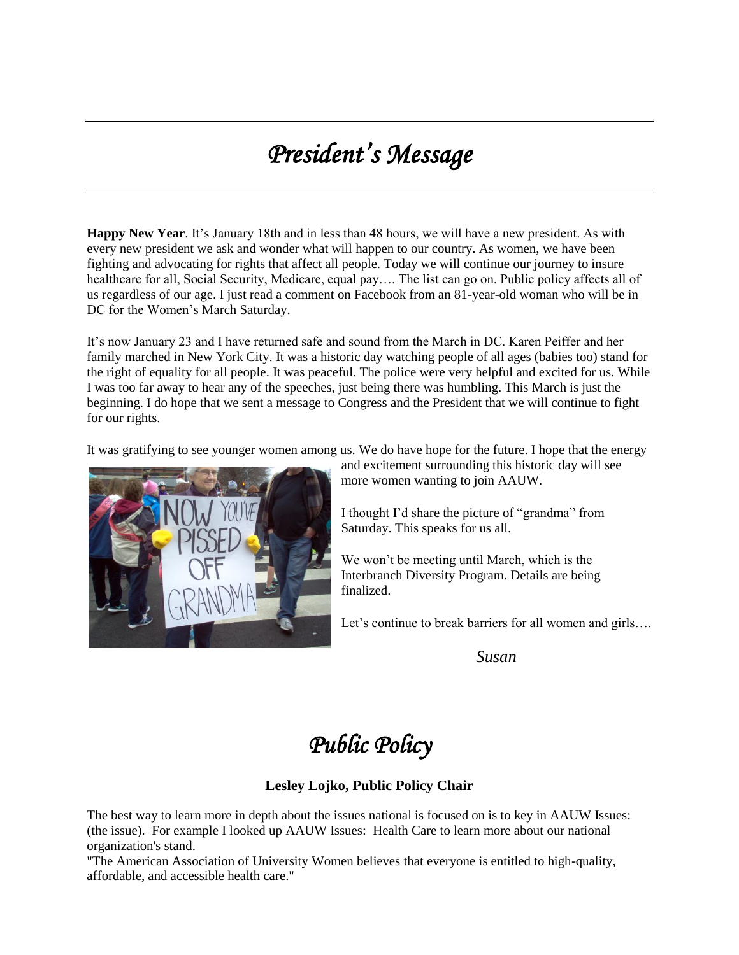# *President's Message*

**Happy New Year**. It's January 18th and in less than 48 hours, we will have a new president. As with every new president we ask and wonder what will happen to our country. As women, we have been fighting and advocating for rights that affect all people. Today we will continue our journey to insure healthcare for all, Social Security, Medicare, equal pay.... The list can go on. Public policy affects all of us regardless of our age. I just read a comment on Facebook from an 81-year-old woman who will be in DC for the Women's March Saturday.

It's now January 23 and I have returned safe and sound from the March in DC. Karen Peiffer and her family marched in New York City. It was a historic day watching people of all ages (babies too) stand for the right of equality for all people. It was peaceful. The police were very helpful and excited for us. While I was too far away to hear any of the speeches, just being there was humbling. This March is just the beginning. I do hope that we sent a message to Congress and the President that we will continue to fight for our rights.

It was gratifying to see younger women among us. We do have hope for the future. I hope that the energy



and excitement surrounding this historic day will see more women wanting to join AAUW.

I thought I'd share the picture of "grandma" from Saturday. This speaks for us all.

We won't be meeting until March, which is the Interbranch Diversity Program. Details are being finalized.

Let's continue to break barriers for all women and girls....

*Susan*

## *Public Policy*

### **Lesley Lojko, Public Policy Chair**

The best way to learn more in depth about the issues national is focused on is to key in AAUW Issues: (the issue). For example I looked up AAUW Issues: Health Care to learn more about our national organization's stand.

"The American Association of University Women believes that everyone is entitled to high-quality, affordable, and accessible health care."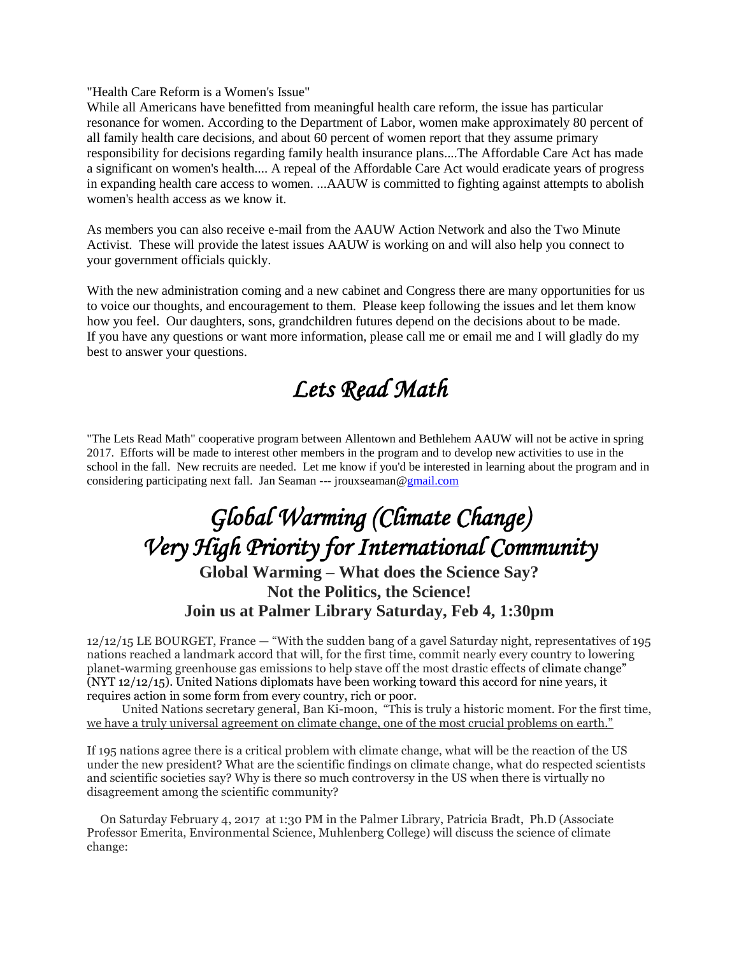"Health Care Reform is a Women's Issue"

While all Americans have benefitted from meaningful health care reform, the issue has particular resonance for women. According to the Department of Labor, women make approximately 80 percent of all family health care decisions, and about 60 percent of women report that they assume primary responsibility for decisions regarding family health insurance plans....The Affordable Care Act has made a significant on women's health.... A repeal of the Affordable Care Act would eradicate years of progress in expanding health care access to women. ...AAUW is committed to fighting against attempts to abolish women's health access as we know it.

As members you can also receive e-mail from the AAUW Action Network and also the Two Minute Activist. These will provide the latest issues AAUW is working on and will also help you connect to your government officials quickly.

With the new administration coming and a new cabinet and Congress there are many opportunities for us to voice our thoughts, and encouragement to them. Please keep following the issues and let them know how you feel. Our daughters, sons, grandchildren futures depend on the decisions about to be made. If you have any questions or want more information, please call me or email me and I will gladly do my best to answer your questions.

# *Lets Read Math*

"The Lets Read Math" cooperative program between Allentown and Bethlehem AAUW will not be active in spring 2017. Efforts will be made to interest other members in the program and to develop new activities to use in the school in the fall. New recruits are needed. Let me know if you'd be interested in learning about the program and in considering participating next fall. Jan Seaman --- jrouxseaman[@gmail.com](http://gmail.com/)

## *Global Warming (Climate Change) Very High Priority for International Community*  **Global Warming – What does the Science Say? Not the Politics, the Science! Join us at Palmer Library Saturday, Feb 4, 1:30pm**

12/12/15 LE BOURGET, France — "With the sudden bang of a gavel Saturday night, representatives of 195 nations reached a landmark accord that will, for the first time, commit nearly every country to lowering planet-warming greenhouse gas emissions to help stave off the most drastic effects of [climate change](http://topics.nytimes.com/top/news/science/topics/globalwarming/index.html?inline=nyt-classifier)" (NYT 12/12/15). [United Nations](http://topics.nytimes.com/top/reference/timestopics/organizations/u/united_nations/index.html?inline=nyt-org) diplomats have been working toward this accord for nine years, it requires action in some form from every country, rich or poor.

 United Nations secretary general, Ban Ki-moon, "This is truly a historic moment. For the first time, we have a truly universal agreement on climate change, one of the most crucial problems on earth."

If 195 nations agree there is a critical problem with climate change, what will be the reaction of the US under the new president? What are the scientific findings on climate change, what do respected scientists and scientific societies say? Why is there so much controversy in the US when there is virtually no disagreement among the scientific community?

On Saturday February 4, 2017 at 1:30 PM in the Palmer Library, Patricia Bradt, Ph.D (Associate Professor Emerita, Environmental Science, Muhlenberg College) will discuss the science of climate change: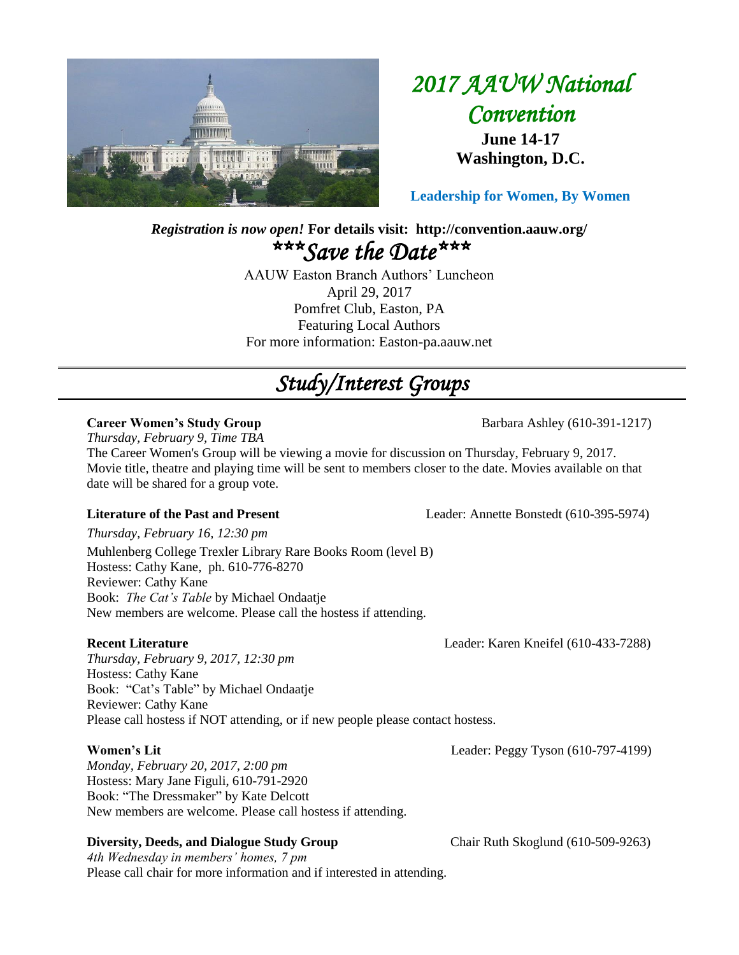

## *2017 AAUW National Convention*  **June 14-17 Washington, D.C.**

**Leadership for Women, By Women**

## *Registration is now open!* **For details visit: http://convention.aauw.org/** *\*\*\*Save the Date\*\*\**

AAUW Easton Branch Authors' Luncheon April 29, 2017 Pomfret Club, Easton, PA Featuring Local Authors For more information: Easton-pa.aauw.net

# *Study/Interest Groups*

#### **Career Women's Study Group Barbara Ashley (610-391-1217)**

*Thursday, February 9, Time TBA*

The Career Women's Group will be viewing a movie for discussion on Thursday, February 9, 2017. Movie title, theatre and playing time will be sent to members closer to the date. Movies available on that date will be shared for a group vote.

*Thursday, February 16, 12:30 pm*

Muhlenberg College Trexler Library Rare Books Room (level B) Hostess: Cathy Kane, ph. 610-776-8270 Reviewer: Cathy Kane Book: *The Cat's Table* by Michael Ondaatje New members are welcome. Please call the hostess if attending.

*Thursday, February 9, 2017, 12:30 pm* Hostess: Cathy Kane Book: "Cat's Table" by Michael Ondaatje Reviewer: Cathy Kane Please call hostess if NOT attending, or if new people please contact hostess.

#### **Women's Lit** Leader: Peggy Tyson (610-797-4199)

*Monday, February 20, 2017, 2:00 pm* Hostess: Mary Jane Figuli, 610-791-2920 Book: "The Dressmaker" by Kate Delcott New members are welcome. Please call hostess if attending.

### **Diversity, Deeds, and Dialogue Study Group Chair Ruth Skoglund (610-509-9263)**

*4th Wednesday in members' homes, 7 pm*  Please call chair for more information and if interested in attending.

**Literature of the Past and Present** Leader: Annette Bonstedt (610-395-5974)

**Recent Literature** Leader: Karen Kneifel (610-433-7288)